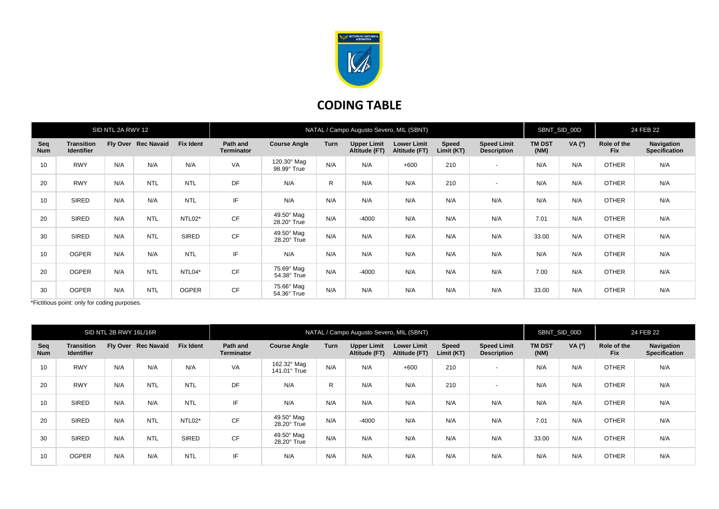

## **CODING TABLE**

| SID NTL 2A RWY 12 |                                        |     |                     | NATAL / Campo Augusto Severo, MIL (SBNT) |                               |                                  |      |                                     |                                     |                            | SBNT_SID_00D                             |                       | 24 FEB 22 |                           |                                    |
|-------------------|----------------------------------------|-----|---------------------|------------------------------------------|-------------------------------|----------------------------------|------|-------------------------------------|-------------------------------------|----------------------------|------------------------------------------|-----------------------|-----------|---------------------------|------------------------------------|
| Seq<br><b>Num</b> | <b>Transition</b><br><b>Identifier</b> |     | Fly Over Rec Navaid | <b>Fix Ident</b>                         | Path and<br><b>Terminator</b> | <b>Course Angle</b>              | Turn | <b>Upper Limit</b><br>Altitude (FT) | <b>Lower Limit</b><br>Altitude (FT) | <b>Speed</b><br>Limit (KT) | <b>Speed Limit</b><br><b>Description</b> | <b>TM DST</b><br>(NM) | VA (°)    | Role of the<br><b>Fix</b> | Navigation<br><b>Specification</b> |
| 10                | <b>RWY</b>                             | N/A | N/A                 | N/A                                      | VA                            | 120.30° Mag<br>98.99° True       | N/A  | N/A                                 | $+600$                              | 210                        | $\sim$                                   | N/A                   | N/A       | <b>OTHER</b>              | N/A                                |
| 20                | <b>RWY</b>                             | N/A | <b>NTL</b>          | <b>NTL</b>                               | DF                            | N/A                              | R    | N/A                                 | N/A                                 | 210                        | $\overline{\phantom{a}}$                 | N/A                   | N/A       | <b>OTHER</b>              | N/A                                |
| 10                | SIRED                                  | N/A | N/A                 | <b>NTL</b>                               | IF                            | N/A                              | N/A  | N/A                                 | N/A                                 | N/A                        | N/A                                      | N/A                   | N/A       | <b>OTHER</b>              | N/A                                |
| 20                | SIRED                                  | N/A | <b>NTL</b>          | NTL02*                                   | <b>CF</b>                     | 49.50° Mag<br>28.20° True        | N/A  | $-4000$                             | N/A                                 | N/A                        | N/A                                      | 7.01                  | N/A       | <b>OTHER</b>              | N/A                                |
| 30                | SIRED                                  | N/A | <b>NTL</b>          | SIRED                                    | <b>CF</b>                     | $49.50^\circ$ Mag<br>28.20° True | N/A  | N/A                                 | N/A                                 | N/A                        | N/A                                      | 33.00                 | N/A       | <b>OTHER</b>              | N/A                                |
| 10                | <b>OGPER</b>                           | N/A | N/A                 | <b>NTL</b>                               | IF                            | N/A                              | N/A  | N/A                                 | N/A                                 | N/A                        | N/A                                      | N/A                   | N/A       | <b>OTHER</b>              | N/A                                |
| 20                | <b>OGPER</b>                           | N/A | <b>NTL</b>          | NTL04*                                   | CF                            | 75.69° Mag<br>54.38° True        | N/A  | $-4000$                             | N/A                                 | N/A                        | N/A                                      | 7.00                  | N/A       | <b>OTHER</b>              | N/A                                |
| 30                | <b>OGPER</b>                           | N/A | <b>NTL</b>          | <b>OGPER</b>                             | <b>CF</b>                     | 75.66° Mag<br>54.36° True        | N/A  | N/A                                 | N/A                                 | N/A                        | N/A                                      | 33.00                 | N/A       | <b>OTHER</b>              | N/A                                |

\*Fictitious point: only for coding purposes.

| SID NTL 2B RWY 16L/16R |                                        |     |                     | NATAL / Campo Augusto Severo, MIL (SBNT) |                               |                             |              |                                     |                                     |                            | SBNT_SID_00D                             |                       | 24 FEB 22 |                           |                                    |
|------------------------|----------------------------------------|-----|---------------------|------------------------------------------|-------------------------------|-----------------------------|--------------|-------------------------------------|-------------------------------------|----------------------------|------------------------------------------|-----------------------|-----------|---------------------------|------------------------------------|
| Seq<br><b>Num</b>      | <b>Transition</b><br><b>Identifier</b> |     | Fly Over Rec Navaid | <b>Fix Ident</b>                         | Path and<br><b>Terminator</b> | <b>Course Angle</b>         | <b>Turn</b>  | <b>Upper Limit</b><br>Altitude (FT) | <b>Lower Limit</b><br>Altitude (FT) | <b>Speed</b><br>Limit (KT) | <b>Speed Limit</b><br><b>Description</b> | <b>TM DST</b><br>(NM) | VA (°)    | Role of the<br><b>Fix</b> | Navigation<br><b>Specification</b> |
| 10                     | <b>RWY</b>                             | N/A | N/A                 | N/A                                      | VA                            | 162.32° Mag<br>141.01° True | N/A          | N/A                                 | $+600$                              | 210                        | $\overline{\phantom{a}}$                 | N/A                   | N/A       | <b>OTHER</b>              | N/A                                |
| 20                     | <b>RWY</b>                             | N/A | <b>NTL</b>          | <b>NTL</b>                               | DF                            | N/A                         | $\mathsf{R}$ | N/A                                 | N/A                                 | 210                        | $\overline{\phantom{a}}$                 | N/A                   | N/A       | <b>OTHER</b>              | N/A                                |
| 10                     | SIRED                                  | N/A | N/A                 | <b>NTL</b>                               | IF                            | N/A                         | N/A          | N/A                                 | N/A                                 | N/A                        | N/A                                      | N/A                   | N/A       | <b>OTHER</b>              | N/A                                |
| 20                     | SIRED                                  | N/A | <b>NTL</b>          | NTL02*                                   | <b>CF</b>                     | 49.50° Mag<br>28.20° True   | N/A          | $-4000$                             | N/A                                 | N/A                        | N/A                                      | 7.01                  | N/A       | <b>OTHER</b>              | N/A                                |
| 30                     | <b>SIRED</b>                           | N/A | <b>NTL</b>          | <b>SIRED</b>                             | <b>CF</b>                     | 49.50° Mag<br>28.20° True   | N/A          | N/A                                 | N/A                                 | N/A                        | N/A                                      | 33.00                 | N/A       | <b>OTHER</b>              | N/A                                |
| 10                     | <b>OGPER</b>                           | N/A | N/A                 | <b>NTL</b>                               | IF                            | N/A                         | N/A          | N/A                                 | N/A                                 | N/A                        | N/A                                      | N/A                   | N/A       | <b>OTHER</b>              | N/A                                |